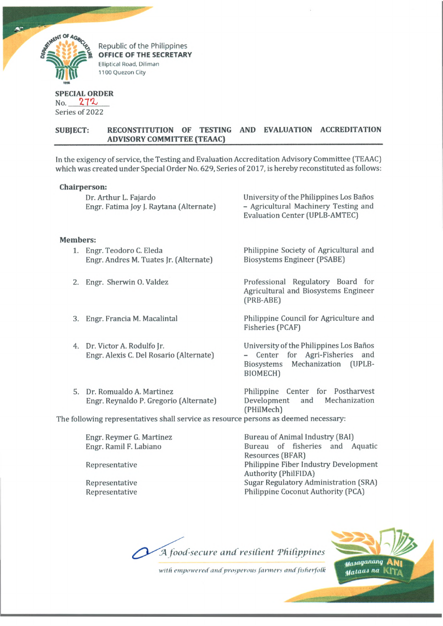

**Republic of the Philippines OFFICE OF THE SECRETARY** Elliptical Road. Diliman 1100 Quezon City

# **SPECIAL ORDER**

 $No. 272$ Series of 2022

## **SUBJECT: RECONSTITUTION OF TESTING AND EVALUATION ACCREDITATION ADVISORY COMMITTEE (TEAAC)\_\_\_\_\_\_\_\_\_\_\_\_\_\_\_\_\_\_\_\_\_\_\_\_\_\_\_\_\_\_\_\_\_\_\_\_\_\_\_\_\_\_\_\_\_\_\_\_\_\_\_\_\_\_\_**

In the exigency of service, the Testing and Evaluation Accreditation Advisory Committee (TEAAC) which was created under Special Order No. 629, Series of 2017, is hereby reconstituted as follows:

## **Chairperson:**

|                                                                                      | <b>ULIMAL PUL JULIE</b>                                                 |                                                                                                                           |
|--------------------------------------------------------------------------------------|-------------------------------------------------------------------------|---------------------------------------------------------------------------------------------------------------------------|
|                                                                                      | Dr. Arthur L. Fajardo<br>Engr. Fatima Joy J. Raytana (Alternate)        | University of the Philippines Los Baños<br>- Agricultural Machinery Testing and<br><b>Evaluation Center (UPLB-AMTEC)</b>  |
| <b>Members:</b>                                                                      |                                                                         |                                                                                                                           |
|                                                                                      | 1. Engr. Teodoro C. Eleda<br>Engr. Andres M. Tuates Jr. (Alternate)     | Philippine Society of Agricultural and<br>Biosystems Engineer (PSABE)                                                     |
| 2.                                                                                   | Engr. Sherwin O. Valdez                                                 | Professional Regulatory Board for<br>Agricultural and Biosystems Engineer<br>(PRB-ABE)                                    |
| 3.                                                                                   | Engr. Francia M. Macalintal                                             | Philippine Council for Agriculture and<br>Fisheries (PCAF)                                                                |
|                                                                                      | 4. Dr. Victor A. Rodulfo Jr.<br>Engr. Alexis C. Del Rosario (Alternate) | University of the Philippines Los Baños<br>- Center for Agri-Fisheries and<br>Biosystems Mechanization (UPLB-<br>BIOMECH) |
| 5.                                                                                   | Dr. Romualdo A. Martinez<br>Engr. Reynaldo P. Gregorio (Alternate)      | Philippine Center for Postharvest<br>Mechanization<br>Development and<br>(PHilMech)                                       |
| The following representatives shall service as resource persons as deemed necessary: |                                                                         |                                                                                                                           |

Engr. Reymer G. Martinez Engr. Ramil F. Labiano

Representative

Representative Representative Bureau of Animal Industry (BAI) Bureau of fisheries and Aquatic Resources (BFAR) Philippine Fiber Industry Development Authority (PhilFIDA) Sugar Regulatory Administration (SRA) Philippine Coconut Authority (PCA)

*A food-secure and resilient 'Philippines*



*willi empowered and' prosperous fanners and fisherfotk*